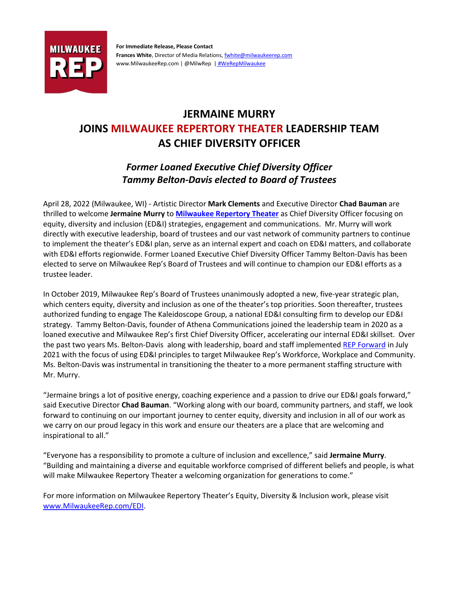

**For Immediate Release, Please Contact Frances White**, Director of Media Relations[, fwhite@milwaukeerep.com](mailto:fwhite@milwaukeerep.com) www.MilwaukeeRep.com | @MilwRep | [#WeRepMilwaukee](https://www.youtube.com/watch?v=QSYIOPkOjFI&t=4s)

## **JERMAINE MURRY JOINS MILWAUKEE REPERTORY THEATER LEADERSHIP TEAM AS CHIEF DIVERSITY OFFICER**

## *Former Loaned Executive Chief Diversity Officer Tammy Belton-Davis elected to Board of Trustees*

April 28, 2022 (Milwaukee, WI) - Artistic Director **Mark Clements** and Executive Director **Chad Bauman** are thrilled to welcome **Jermaine Murry** to **[Milwaukee Repertory Theater](http://www.milwaukeerep.com/)** as Chief Diversity Officer focusing on equity, diversity and inclusion (ED&I) strategies, engagement and communications. Mr. Murry will work directly with executive leadership, board of trustees and our vast network of community partners to continue to implement the theater's ED&I plan, serve as an internal expert and coach on ED&I matters, and collaborate with ED&I efforts regionwide. Former Loaned Executive Chief Diversity Officer Tammy Belton-Davis has been elected to serve on Milwaukee Rep's Board of Trustees and will continue to champion our ED&I efforts as a trustee leader.

In October 2019, Milwaukee Rep's Board of Trustees unanimously adopted a new, five-year strategic plan, which centers equity, diversity and inclusion as one of the theater's top priorities. Soon thereafter, trustees authorized funding to engage The Kaleidoscope Group, a national ED&I consulting firm to develop our ED&I strategy. Tammy Belton-Davis, founder of Athena Communications joined the leadership team in 2020 as a loaned executive and Milwaukee Rep's first Chief Diversity Officer, accelerating our internal ED&I skillset. Over the past two years Ms. Belton-Davis along with leadership, board and staff implemente[d REP Forward](https://issuu.com/milwaukeerep/docs/rep_edi_plan?fr=sMDRjNzExNTAwNA) in July 2021 with the focus of using ED&I principles to target Milwaukee Rep's Workforce, Workplace and Community. Ms. Belton-Davis was instrumental in transitioning the theater to a more permanent staffing structure with Mr. Murry.

"Jermaine brings a lot of positive energy, coaching experience and a passion to drive our ED&I goals forward," said Executive Director **Chad Bauman**. "Working along with our board, community partners, and staff, we look forward to continuing on our important journey to center equity, diversity and inclusion in all of our work as we carry on our proud legacy in this work and ensure our theaters are a place that are welcoming and inspirational to all."

"Everyone has a responsibility to promote a culture of inclusion and excellence," said **Jermaine Murry**. "Building and maintaining a diverse and equitable workforce comprised of different beliefs and people, is what will make Milwaukee Repertory Theater a welcoming organization for generations to come."

For more information on Milwaukee Repertory Theater's Equity, Diversity & Inclusion work, please visit [www.MilwaukeeRep.com/EDI.](http://www.milwaukeerep.com/about/equity-diversity-inclusion)